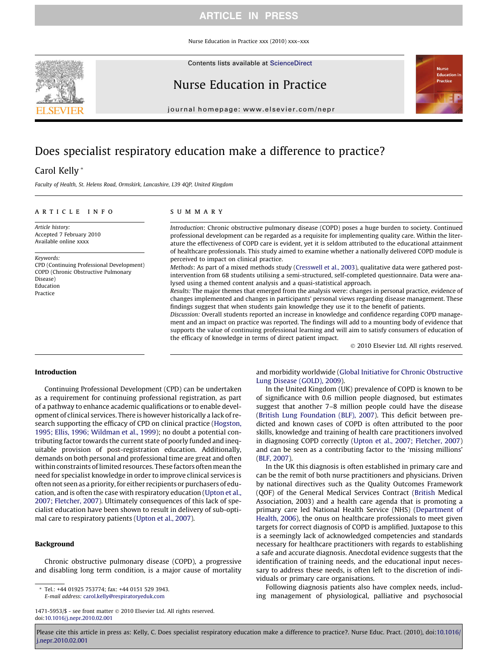### ARTICLE IN PRESS

Nurse Education in Practice xxx (2010) xxx–xxx

Contents lists available at [ScienceDirect](http://www.sciencedirect.com/science/journal/14715953)

## Nurse Education in Practice

journal homepage: [www.elsevier.com/nepr](http://www.elsevier.com/nepr)

Please cite this article in press as: Kelly, C. Does specialist respiratory education make a difference to practice?. Nurse Educ. Pract. (2010), doi:[10.1016/](http://dx.doi.org/10.1016/j.nepr.2010.02.001)

# Does specialist respiratory education make a difference to practice?

### Carol Kelly \*

Faculty of Health, St. Helens Road, Ormskirk, Lancashire, L39 4QP, United Kingdom

### article info

Article history: Accepted 7 February 2010 Available online xxxx

Keywords: CPD (Continuing Professional Development) COPD (Chronic Obstructive Pulmonary Disease) Education Practice

### SUMMARY

Introduction: Chronic obstructive pulmonary disease (COPD) poses a huge burden to society. Continued professional development can be regarded as a requisite for implementing quality care. Within the literature the effectiveness of COPD care is evident, yet it is seldom attributed to the educational attainment of healthcare professionals. This study aimed to examine whether a nationally delivered COPD module is perceived to impact on clinical practice.

Methods: As part of a mixed methods study ([Cresswell et al., 2003\)](#page-6-0), qualitative data were gathered postintervention from 68 students utilising a semi-structured, self-completed questionnaire. Data were analysed using a themed content analysis and a quasi-statistical approach.

Results: The major themes that emerged from the analysis were: changes in personal practice, evidence of changes implemented and changes in participants' personal views regarding disease management. These findings suggest that when students gain knowledge they use it to the benefit of patients.

Discussion: Overall students reported an increase in knowledge and confidence regarding COPD management and an impact on practice was reported. The findings will add to a mounting body of evidence that supports the value of continuing professional learning and will aim to satisfy consumers of education of the efficacy of knowledge in terms of direct patient impact.

- 2010 Elsevier Ltd. All rights reserved.

### Introduction

Continuing Professional Development (CPD) can be undertaken as a requirement for continuing professional registration, as part of a pathway to enhance academic qualifications or to enable development of clinical services. There is however historically a lack of research supporting the efficacy of CPD on clinical practice [\(Hogston,](#page-6-0) [1995; Ellis, 1996; Wildman et al., 1999\)](#page-6-0); no doubt a potential contributing factor towards the current state of poorly funded and inequitable provision of post-registration education. Additionally, demands on both personal and professional time are great and often within constraints of limited resources. These factors often mean the need for specialist knowledge in order to improve clinical services is often not seen as a priority, for either recipients or purchasers of education, and is often the case with respiratory education [\(Upton et al.,](#page-6-0) [2007; Fletcher, 2007](#page-6-0)). Ultimately consequences of this lack of specialist education have been shown to result in delivery of sub-optimal care to respiratory patients ([Upton et al., 2007](#page-6-0)).

### Background

[j.nepr.2010.02.001](http://dx.doi.org/10.1016/j.nepr.2010.02.001)

Chronic obstructive pulmonary disease (COPD), a progressive and disabling long term condition, is a major cause of mortality

\* Tel.: +44 01925 753774; fax: +44 0151 529 3943. E-mail address: [carol.kelly@respiratoryeduk.com](mailto:carol.kelly@respiratoryeduk.com)

1471-5953/\$ - see front matter @ 2010 Elsevier Ltd. All rights reserved. doi[:10.1016/j.nepr.2010.02.001](http://dx.doi.org/10.1016/j.nepr.2010.02.001)

and morbidity worldwide ([Global Initiative for Chronic Obstructive](#page-6-0) [Lung Disease \(GOLD\), 2009\)](#page-6-0).

In the United Kingdom (UK) prevalence of COPD is known to be of significance with 0.6 million people diagnosed, but estimates suggest that another 7–8 million people could have the disease ([British Lung Foundation \(BLF\), 2007](#page-6-0)). This deficit between predicted and known cases of COPD is often attributed to the poor skills, knowledge and training of health care practitioners involved in diagnosing COPD correctly [\(Upton et al., 2007; Fletcher, 2007\)](#page-6-0) and can be seen as a contributing factor to the 'missing millions' ([BLF, 2007](#page-6-0)).

In the UK this diagnosis is often established in primary care and can be the remit of both nurse practitioners and physicians. Driven by national directives such as the Quality Outcomes Framework (QOF) of the General Medical Services Contract [\(British](#page-6-0) Medical Association, 2003) and a health care agenda that is promoting a primary care led National Health Service (NHS) ([Department of](#page-6-0) [Health, 2006](#page-6-0)), the onus on healthcare professionals to meet given targets for correct diagnosis of COPD is amplified. Juxtapose to this is a seemingly lack of acknowledged competencies and standards necessary for healthcare practitioners with regards to establishing a safe and accurate diagnosis. Anecdotal evidence suggests that the identification of training needs, and the educational input necessary to address these needs, is often left to the discretion of individuals or primary care organisations.

Following diagnosis patients also have complex needs, including management of physiological, palliative and psychosocial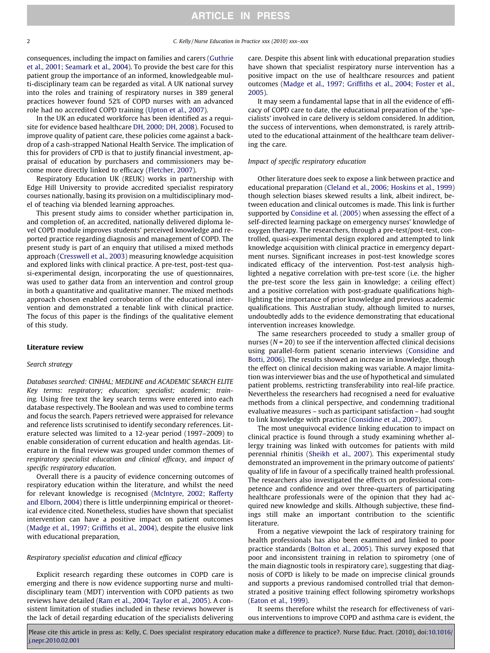consequences, including the impact on families and carers ([Guthrie](#page-6-0) [et al., 2001; Seamark et al., 2004\)](#page-6-0). To provide the best care for this patient group the importance of an informed, knowledgeable multi-disciplinary team can be regarded as vital. A UK national survey into the roles and training of respiratory nurses in 389 general practices however found 52% of COPD nurses with an advanced role had no accredited COPD training [\(Upton et al., 2007](#page-6-0)).

In the UK an educated workforce has been identified as a requisite for evidence based healthcare [DH, 2000; DH, 2008\)](#page-6-0). Focused to improve quality of patient care, these policies come against a backdrop of a cash-strapped National Health Service. The implication of this for providers of CPD is that to justify financial investment, appraisal of education by purchasers and commissioners may become more directly linked to efficacy [\(Fletcher, 2007](#page-6-0)).

Respiratory Education UK (REUK) works in partnership with Edge Hill University to provide accredited specialist respiratory courses nationally, basing its provision on a multidisciplinary model of teaching via blended learning approaches.

This present study aims to consider whether participation in, and completion of, an accredited, nationally delivered diploma level COPD module improves students' perceived knowledge and reported practice regarding diagnosis and management of COPD. The present study is part of an enquiry that utilised a mixed methods approach ([Cresswell et al., 2003\)](#page-6-0) measuring knowledge acquisition and explored links with clinical practice. A pre-test, post-test quasi-experimental design, incorporating the use of questionnaires, was used to gather data from an intervention and control group in both a quantitative and qualitative manner. The mixed methods approach chosen enabled corroboration of the educational intervention and demonstrated a tenable link with clinical practice. The focus of this paper is the findings of the qualitative element of this study.

### Literature review

### Search strategy

Databases searched: CINHAL; MEDLINE and ACADEMIC SEARCH ELITE Key terms: respiratory; education; specialist; academic; training. Using free text the key search terms were entered into each database respectively. The Boolean and was used to combine terms and focus the search. Papers retrieved were appraised for relevance and reference lists scrutinised to identify secondary references. Literature selected was limited to a 12-year period (1997–2009) to enable consideration of current education and health agendas. Literature in the final review was grouped under common themes of respiratory specialist education and clinical efficacy, and impact of specific respiratory education.

Overall there is a paucity of evidence concerning outcomes of respiratory education within the literature, and whilst the need for relevant knowledge is recognised [\(McIntyre, 2002; Rafferty](#page-6-0) [and Elborn, 2004](#page-6-0)) there is little underpinning empirical or theoretical evidence cited. Nonetheless, studies have shown that specialist intervention can have a positive impact on patient outcomes ([Madge et al., 1997; Griffiths et al., 2004\)](#page-6-0), despite the elusive link with educational preparation,

### Respiratory specialist education and clinical efficacy

Explicit research regarding these outcomes in COPD care is emerging and there is now evidence supporting nurse and multidisciplinary team (MDT) intervention with COPD patients as two reviews have detailed [\(Ram et al., 2004; Taylor et al., 2005](#page-6-0)). A consistent limitation of studies included in these reviews however is the lack of detail regarding education of the specialists delivering

care. Despite this absent link with educational preparation studies have shown that specialist respiratory nurse intervention has a positive impact on the use of healthcare resources and patient outcomes [\(Madge et al., 1997; Griffiths et al., 2004; Foster et al.,](#page-6-0) [2005\)](#page-6-0).

It may seem a fundamental lapse that in all the evidence of efficacy of COPD care to date, the educational preparation of the 'specialists' involved in care delivery is seldom considered. In addition, the success of interventions, when demonstrated, is rarely attributed to the educational attainment of the healthcare team delivering the care.

### Impact of specific respiratory education

Other literature does seek to expose a link between practice and educational preparation ([Cleland et al., 2006; Hoskins et al., 1999\)](#page-6-0) though selection biases skewed results a link, albeit indirect, between education and clinical outcomes is made. This link is further supported by [Considine et al. \(2005\)](#page-6-0) when assessing the effect of a self-directed learning package on emergency nurses' knowledge of oxygen therapy. The researchers, through a pre-test/post-test, controlled, quasi-experimental design explored and attempted to link knowledge acquisition with clinical practice in emergency department nurses. Significant increases in post-test knowledge scores indicated efficacy of the intervention. Post-test analysis highlighted a negative correlation with pre-test score (i.e. the higher the pre-test score the less gain in knowledge; a ceiling effect) and a positive correlation with post-graduate qualifications highlighting the importance of prior knowledge and previous academic qualifications. This Australian study, although limited to nurses, undoubtedly adds to the evidence demonstrating that educational intervention increases knowledge.

The same researchers proceeded to study a smaller group of nurses ( $N = 20$ ) to see if the intervention affected clinical decisions using parallel-form patient scenario interviews ([Considine and](#page-6-0) [Botti, 2006\)](#page-6-0). The results showed an increase in knowledge, though the effect on clinical decision making was variable. A major limitation was interviewer bias and the use of hypothetical and simulated patient problems, restricting transferability into real-life practice. Nevertheless the researchers had recognised a need for evaluative methods from a clinical perspective, and condemning traditional evaluative measures – such as participant satisfaction – had sought to link knowledge with practice [\(Considine et al., 2007](#page-6-0)).

The most unequivocal evidence linking education to impact on clinical practice is found through a study examining whether allergy training was linked with outcomes for patients with mild perennial rhinitis ([Sheikh et al., 2007](#page-6-0)). This experimental study demonstrated an improvement in the primary outcome of patients' quality of life in favour of a specifically trained health professional. The researchers also investigated the effects on professional competence and confidence and over three-quarters of participating healthcare professionals were of the opinion that they had acquired new knowledge and skills. Although subjective, these findings still make an important contribution to the scientific literature.

From a negative viewpoint the lack of respiratory training for health professionals has also been examined and linked to poor practice standards ([Bolton et al., 2005](#page-6-0)). This survey exposed that poor and inconsistent training in relation to spirometry (one of the main diagnostic tools in respiratory care), suggesting that diagnosis of COPD is likely to be made on imprecise clinical grounds and supports a previous randomised controlled trial that demonstrated a positive training effect following spirometry workshops ([Eaton et al., 1999](#page-6-0)).

It seems therefore whilst the research for effectiveness of various interventions to improve COPD and asthma care is evident, the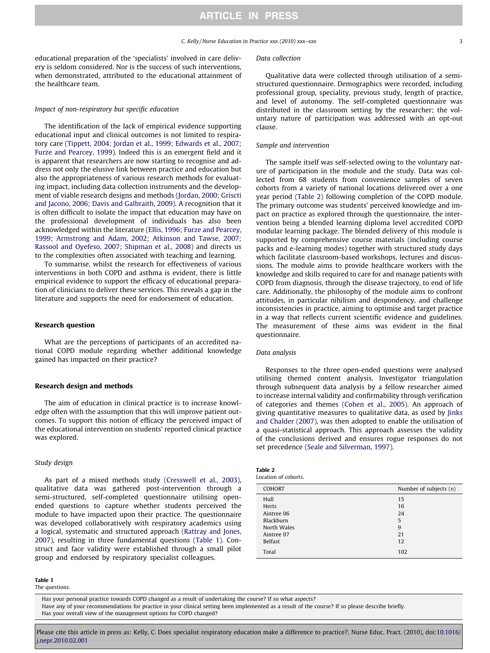<span id="page-2-0"></span>educational preparation of the 'specialists' involved in care delivery is seldom considered. Nor is the success of such interventions, when demonstrated, attributed to the educational attainment of the healthcare team.

### Impact of non-respiratory but specific education

The identification of the lack of empirical evidence supporting educational input and clinical outcomes is not limited to respiratory care [\(Tippett, 2004; Jordan et al., 1999; Edwards et al., 2007;](#page-6-0) [Furze and Pearcey, 1999\)](#page-6-0). Indeed this is an emergent field and it is apparent that researchers are now starting to recognise and address not only the elusive link between practice and education but also the appropriateness of various research methods for evaluating impact, including data collection instruments and the development of viable research designs and methods ([Jordan, 2000; Griscti](#page-6-0) [and Jacono, 2006; Davis and Galbraith, 2009\)](#page-6-0). A recognition that it is often difficult to isolate the impact that education may have on the professional development of individuals has also been acknowledged within the literature [\(Ellis, 1996; Furze and Pearcey,](#page-6-0) [1999; Armstrong and Adam, 2002; Atkinson and Tawse, 2007;](#page-6-0) [Rassool and Oyefeso, 2007; Shipman et al., 2008](#page-6-0)) and directs us to the complexities often associated with teaching and learning.

To summarise, whilst the research for effectiveness of various interventions in both COPD and asthma is evident, there is little empirical evidence to support the efficacy of educational preparation of clinicians to deliver these services. This reveals a gap in the literature and supports the need for endorsement of education.

### Research question

What are the perceptions of participants of an accredited national COPD module regarding whether additional knowledge gained has impacted on their practice?

### Research design and methods

The aim of education in clinical practice is to increase knowledge often with the assumption that this will improve patient outcomes. To support this notion of efficacy the perceived impact of the educational intervention on students' reported clinical practice was explored.

### Study design

As part of a mixed methods study [\(Cresswell et al., 2003\)](#page-6-0), qualitative data was gathered post-intervention through a semi-structured, self-completed questionnaire utilising openended questions to capture whether students perceived the module to have impacted upon their practice. The questionnaire was developed collaboratively with respiratory academics using a logical, systematic and structured approach ([Rattray and Jones,](#page-6-0) [2007](#page-6-0)), resulting in three fundamental questions (Table 1). Construct and face validity were established through a small pilot group and endorsed by respiratory specialist colleagues.

#### Table 1

The questions.

### Data collection

Qualitative data were collected through utilisation of a semistructured questionnaire. Demographics were recorded, including professional group, speciality, previous study, length of practice, and level of autonomy. The self-completed questionnaire was distributed in the classroom setting by the researcher; the voluntary nature of participation was addressed with an opt-out clause.

### Sample and intervention

The sample itself was self-selected owing to the voluntary nature of participation in the module and the study. Data was collected from 68 students from convenience samples of seven cohorts from a variety of national locations delivered over a one year period (Table 2) following completion of the COPD module. The primary outcome was students' perceived knowledge and impact on practice as explored through the questionnaire, the intervention being a blended learning diploma level accredited COPD modular learning package. The blended delivery of this module is supported by comprehensive course materials (including course packs and e-learning modes) together with structured study days which facilitate classroom-based workshops, lectures and discussions. The module aims to provide healthcare workers with the knowledge and skills required to care for and manage patients with COPD from diagnosis, through the disease trajectory, to end of life care. Additionally, the philosophy of the module aims to confront attitudes, in particular nihilism and despondency, and challenge inconsistencies in practice, aiming to optimise and target practice in a way that reflects current scientific evidence and guidelines. The measurement of these aims was evident in the final questionnaire.

### Data analysis

Responses to the three open-ended questions were analysed utilising themed content analysis. Investigator triangulation through subsequent data analysis by a fellow researcher aimed to increase internal validity and confirmability through verification of categories and themes ([Cohen et al., 2005](#page-6-0)). An approach of giving quantitative measures to qualitative data, as used by [Jinks](#page-6-0) [and Chalder \(2007\)](#page-6-0), was then adopted to enable the utilisation of a quasi-statistical approach. This approach assesses the validity of the conclusions derived and ensures rogue responses do not set precedence ([Seale and Silverman, 1997](#page-6-0)).

| Table 2             |  |
|---------------------|--|
| Location of cohorts |  |

| <b>COHORT</b> | Number of subjects $(n)$ |
|---------------|--------------------------|
| Hull          | 15                       |
| Herts         | 16                       |
| Aintree 06    | 24                       |
| Blackburn     | 5                        |
| North Wales   | 9                        |
| Aintree 07    | 21                       |
| Belfast       | 12                       |
| Total         | 102                      |

Has your personal practice towards COPD changed as a result of undertaking the course? If so what aspects? Have any of your recommendations for practice in your clinical setting been implemented as a result of the course? If so please describe briefly. Has your overall view of the management options for COPD changed?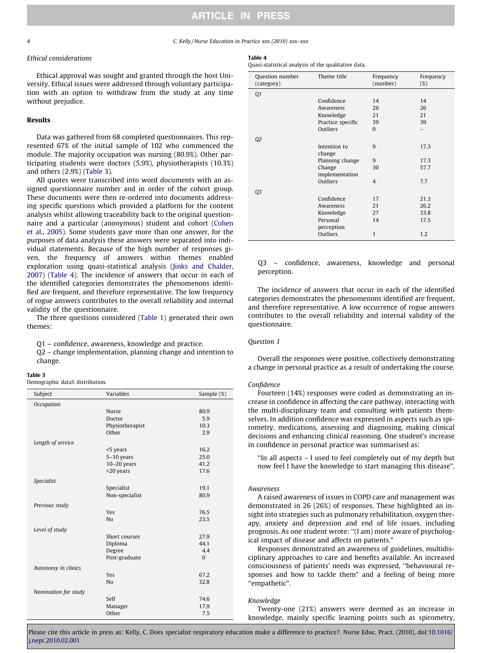## ARTICLE IN PRESS

4 C. Kelly / Nurse Education in Practice xxx (2010) xxx–xxx

### Ethical considerations

Ethical approval was sought and granted through the host University. Ethical issues were addressed through voluntary participation with an option to withdraw from the study at any time without prejudice.

### Results

Data was gathered from 68 completed questionnaires. This represented 67% of the initial sample of 102 who commenced the module. The majority occupation was nursing (80.9%). Other participating students were doctors (5.9%), physiotherapists (10.3%) and others (2.9%) (Table 3).

All quotes were transcribed into word documents with an assigned questionnaire number and in order of the cohort group. These documents were then re-ordered into documents addressing specific questions which provided a platform for the content analysis whilst allowing traceability back to the original questionnaire and a particular (anonymous) student and cohort [\(Cohen](#page-6-0) [et al., 2005](#page-6-0)). Some students gave more than one answer, for the purposes of data analysis these answers were separated into individual statements. Because of the high number of responses given, the frequency of answers within themes enabled exploration using quasi-statistical analysis [\(Jinks and Chalder,](#page-6-0) [2007\)](#page-6-0) (Table 4). The incidence of answers that occur in each of the identified categories demonstrates the phenomenons identified are frequent, and therefore representative. The low frequency of rogue answers contributes to the overall reliability and internal validity of the questionnaire.

The three questions considered ([Table 1](#page-2-0)) generated their own themes:

Q1 – confidence, awareness, knowledge and practice.

Q2 – change implementation, planning change and intention to change.

### Table 3

Demographic data% distribution.

| Subject              | Variables       | Sample (%) |
|----------------------|-----------------|------------|
| Occupation           |                 |            |
|                      | <b>Nurse</b>    | 80.9       |
|                      | Doctor          | 5.9        |
|                      | Physiotherapist | 10.3       |
|                      | Other           | 2.9        |
| Length of service    |                 |            |
|                      | <5 years        | 16.2       |
|                      | $5-10$ years    | 25.0       |
|                      | $10-20$ years   | 41.2       |
|                      | >20 years       | 17.6       |
| Specialist           |                 |            |
|                      | Specialist      | 19.1       |
|                      | Non-specialist  | 80.9       |
| Previous study       |                 |            |
|                      | Yes             | 76.5       |
|                      | No              | 23.5       |
| Level of study       |                 |            |
|                      | Short courses   | 27.9       |
|                      | Diploma         | 44.1       |
|                      | Degree          | 4.4        |
|                      | Post-graduate   | $\Omega$   |
| Autonomy in clinics  |                 |            |
|                      | Yes             | 67.2       |
|                      | N <sub>0</sub>  | 32.8       |
| Nomination for study |                 |            |
|                      | Self            | 74.6       |
|                      | Manager         | 17.9       |
|                      | Other           | 7.5        |

#### Table 4

Quasi-statistical analysis of the qualitative data.

| Question number<br>(category) | Theme title       | Frequency<br>(number) | Frequency<br>$(\%)$ |
|-------------------------------|-------------------|-----------------------|---------------------|
| Q <sub>1</sub>                |                   |                       |                     |
|                               | Confidence        | 14                    | 14                  |
|                               | Awareness         | 26                    | 26                  |
|                               | Knowledge         | 21                    | 21                  |
|                               | Practice specific | 39                    | 39                  |
|                               | Outliers          | $\Omega$              |                     |
| Q <sub>2</sub>                |                   |                       |                     |
|                               | Intention to      | 9                     | 17.3                |
|                               | change            |                       |                     |
|                               | Planning change   | 9                     | 17.3                |
|                               | Change            | 30                    | 57.7                |
|                               | implementation    |                       |                     |
|                               | Outliers          | $\overline{4}$        | 7.7                 |
| O <sub>3</sub>                |                   |                       |                     |
|                               | Confidence        | 17                    | 21.3                |
|                               | Awareness         | 21                    | 26.2                |
|                               | Knowledge         | 27                    | 33.8                |
|                               | Personal          | 14                    | 17.5                |
|                               | perception        |                       |                     |
|                               | Outliers          | 1                     | 1.2                 |

Q3 – confidence, awareness, knowledge and personal perception.

The incidence of answers that occur in each of the identified categories demonstrates the phenomenons identified are frequent, and therefore representative. A low occurrence of rogue answers contributes to the overall reliability and internal validity of the questionnaire.

### Question 1

Overall the responses were positive, collectively demonstrating a change in personal practice as a result of undertaking the course.

### Confidence

Fourteen (14%) responses were coded as demonstrating an increase in confidence in affecting the care pathway, interacting with the multi-disciplinary team and consulting with patients themselves. In addition confidence was expressed in aspects such as spirometry, medications, assessing and diagnosing, making clinical decisions and enhancing clinical reasoning. One student's increase in confidence in personal practice was summarised as:

''In all aspects – I used to feel completely out of my depth but now feel I have the knowledge to start managing this disease".

#### Awareness

A raised awareness of issues in COPD care and management was demonstrated in 26 (26%) of responses. These highlighted an insight into strategies such as pulmonary rehabilitation, oxygen therapy, anxiety and depression and end of life issues, including prognosis. As one student wrote: ''(I am) more aware of psychological impact of disease and affects on patients."

Responses demonstrated an awareness of guidelines, multidisciplinary approaches to care and benefits available. An increased consciousness of patients' needs was expressed, ''behavioural responses and how to tackle them" and a feeling of being more ''empathetic".

### Knowledge

Twenty-one (21%) answers were deemed as an increase in knowledge, mainly specific learning points such as spirometry,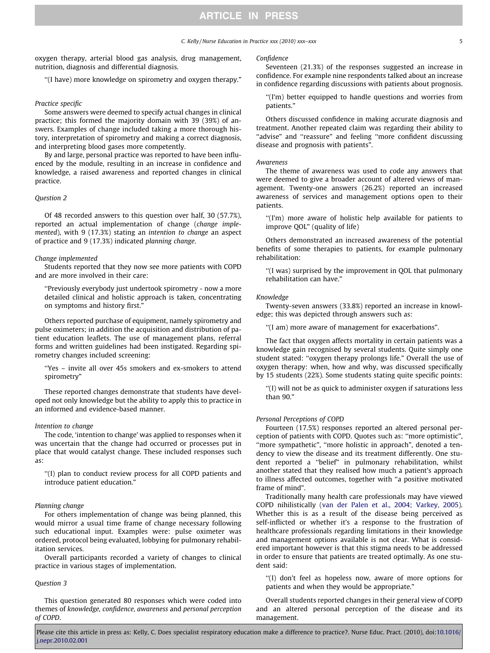oxygen therapy, arterial blood gas analysis, drug management, nutrition, diagnosis and differential diagnosis.

''(I have) more knowledge on spirometry and oxygen therapy."

### Practice specific

Some answers were deemed to specify actual changes in clinical practice; this formed the majority domain with 39 (39%) of answers. Examples of change included taking a more thorough history, interpretation of spirometry and making a correct diagnosis, and interpreting blood gases more competently.

By and large, personal practice was reported to have been influenced by the module, resulting in an increase in confidence and knowledge, a raised awareness and reported changes in clinical practice.

### Question 2

Of 48 recorded answers to this question over half, 30 (57.7%), reported an actual implementation of change (change implemented), with 9 (17.3%) stating an intention to change an aspect of practice and 9 (17.3%) indicated planning change.

### Change implemented

Students reported that they now see more patients with COPD and are more involved in their care:

''Previously everybody just undertook spirometry - now a more detailed clinical and holistic approach is taken, concentrating on symptoms and history first."

Others reported purchase of equipment, namely spirometry and pulse oximeters; in addition the acquisition and distribution of patient education leaflets. The use of management plans, referral forms and written guidelines had been instigated. Regarding spirometry changes included screening:

''Yes – invite all over 45s smokers and ex-smokers to attend spirometry"

These reported changes demonstrate that students have developed not only knowledge but the ability to apply this to practice in an informed and evidence-based manner.

### Intention to change

The code, 'intention to change' was applied to responses when it was uncertain that the change had occurred or processes put in place that would catalyst change. These included responses such as:

''(I) plan to conduct review process for all COPD patients and introduce patient education."

### Planning change

For others implementation of change was being planned, this would mirror a usual time frame of change necessary following such educational input. Examples were: pulse oximeter was ordered, protocol being evaluated, lobbying for pulmonary rehabilitation services.

Overall participants recorded a variety of changes to clinical practice in various stages of implementation.

### Question 3

This question generated 80 responses which were coded into themes of knowledge, confidence, awareness and personal perception of COPD.

### Confidence

Seventeen (21.3%) of the responses suggested an increase in confidence. For example nine respondents talked about an increase in confidence regarding discussions with patients about prognosis.

''(I'm) better equipped to handle questions and worries from patients."

Others discussed confidence in making accurate diagnosis and treatment. Another repeated claim was regarding their ability to "advise" and "reassure" and feeling "more confident discussing disease and prognosis with patients".

### Awareness

The theme of awareness was used to code any answers that were deemed to give a broader account of altered views of management. Twenty-one answers (26.2%) reported an increased awareness of services and management options open to their patients.

"(I'm) more aware of holistic help available for patients to improve QOL" (quality of life)

Others demonstrated an increased awareness of the potential benefits of some therapies to patients, for example pulmonary rehabilitation:

''(I was) surprised by the improvement in QOL that pulmonary rehabilitation can have."

### Knowledge

Twenty-seven answers (33.8%) reported an increase in knowledge; this was depicted through answers such as:

''(I am) more aware of management for exacerbations".

The fact that oxygen affects mortality in certain patients was a knowledge gain recognised by several students. Quite simply one student stated: ''oxygen therapy prolongs life." Overall the use of oxygen therapy: when, how and why, was discussed specifically by 15 students (22%). Some students stating quite specific points:

''(I) will not be as quick to administer oxygen if saturations less than 90."

### Personal Perceptions of COPD

Fourteen (17.5%) responses reported an altered personal perception of patients with COPD. Quotes such as: ''more optimistic", "more sympathetic", "more holistic in approach", denoted a tendency to view the disease and its treatment differently. One student reported a ''belief" in pulmonary rehabilitation, whilst another stated that they realised how much a patient's approach to illness affected outcomes, together with ''a positive motivated frame of mind".

Traditionally many health care professionals may have viewed COPD nihilistically ([van der Palen et al., 2004; Varkey, 2005\)](#page-7-0). Whether this is as a result of the disease being perceived as self-inflicted or whether it's a response to the frustration of healthcare professionals regarding limitations in their knowledge and management options available is not clear. What is considered important however is that this stigma needs to be addressed in order to ensure that patients are treated optimally. As one student said:

''(I) don't feel as hopeless now, aware of more options for patients and when they would be appropriate."

Overall students reported changes in their general view of COPD and an altered personal perception of the disease and its management.

Please cite this article in press as: Kelly, C. Does specialist respiratory education make a difference to practice?. Nurse Educ. Pract. (2010), doi:[10.1016/](http://dx.doi.org/10.1016/j.nepr.2010.02.001) [j.nepr.2010.02.001](http://dx.doi.org/10.1016/j.nepr.2010.02.001)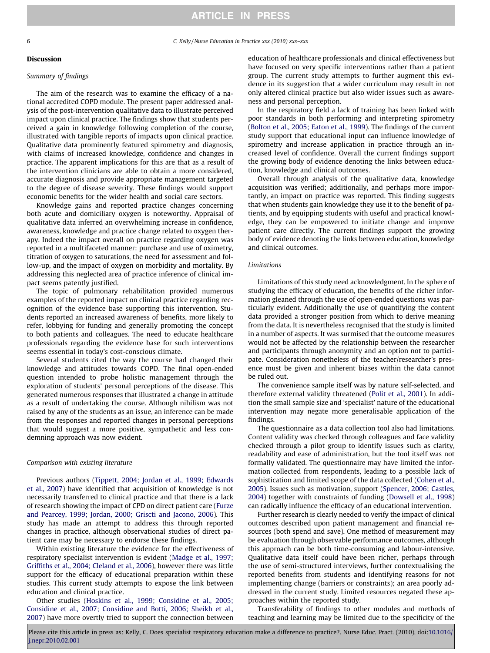### Discussion

### Summary of findings

The aim of the research was to examine the efficacy of a national accredited COPD module. The present paper addressed analysis of the post-intervention qualitative data to illustrate perceived impact upon clinical practice. The findings show that students perceived a gain in knowledge following completion of the course, illustrated with tangible reports of impacts upon clinical practice. Qualitative data prominently featured spirometry and diagnosis, with claims of increased knowledge, confidence and changes in practice. The apparent implications for this are that as a result of the intervention clinicians are able to obtain a more considered, accurate diagnosis and provide appropriate management targeted to the degree of disease severity. These findings would support economic benefits for the wider health and social care sectors.

Knowledge gains and reported practice changes concerning both acute and domiciliary oxygen is noteworthy. Appraisal of qualitative data inferred an overwhelming increase in confidence, awareness, knowledge and practice change related to oxygen therapy. Indeed the impact overall on practice regarding oxygen was reported in a multifaceted manner: purchase and use of oximetry, titration of oxygen to saturations, the need for assessment and follow-up, and the impact of oxygen on morbidity and mortality. By addressing this neglected area of practice inference of clinical impact seems patently justified.

The topic of pulmonary rehabilitation provided numerous examples of the reported impact on clinical practice regarding recognition of the evidence base supporting this intervention. Students reported an increased awareness of benefits, more likely to refer, lobbying for funding and generally promoting the concept to both patients and colleagues. The need to educate healthcare professionals regarding the evidence base for such interventions seems essential in today's cost-conscious climate.

Several students cited the way the course had changed their knowledge and attitudes towards COPD. The final open-ended question intended to probe holistic management through the exploration of students' personal perceptions of the disease. This generated numerous responses that illustrated a change in attitude as a result of undertaking the course. Although nihilism was not raised by any of the students as an issue, an inference can be made from the responses and reported changes in personal perceptions that would suggest a more positive, sympathetic and less condemning approach was now evident.

### Comparison with existing literature

Previous authors [\(Tippett, 2004; Jordan et al., 1999; Edwards](#page-6-0) [et al., 2007](#page-6-0)) have identified that acquisition of knowledge is not necessarily transferred to clinical practice and that there is a lack of research showing the impact of CPD on direct patient care [\(Furze](#page-6-0) [and Pearcey, 1999; Jordan, 2000; Griscti and Jacono, 2006\)](#page-6-0). This study has made an attempt to address this through reported changes in practice, although observational studies of direct patient care may be necessary to endorse these findings.

Within existing literature the evidence for the effectiveness of respiratory specialist intervention is evident [\(Madge et al., 1997;](#page-6-0) [Griffiths et al., 2004; Cleland et al., 2006](#page-6-0)), however there was little support for the efficacy of educational preparation within these studies. This current study attempts to expose the link between education and clinical practice.

Other studies ([Hoskins et al., 1999; Considine et al., 2005;](#page-6-0) [Considine et al., 2007; Considine and Botti, 2006; Sheikh et al.,](#page-6-0) [2007\)](#page-6-0) have more overtly tried to support the connection between education of healthcare professionals and clinical effectiveness but have focused on very specific interventions rather than a patient group. The current study attempts to further augment this evidence in its suggestion that a wider curriculum may result in not only altered clinical practice but also wider issues such as awareness and personal perception.

In the respiratory field a lack of training has been linked with poor standards in both performing and interpreting spirometry ([Bolton et al., 2005; Eaton et al., 1999](#page-6-0)). The findings of the current study support that educational input can influence knowledge of spirometry and increase application in practice through an increased level of confidence. Overall the current findings support the growing body of evidence denoting the links between education, knowledge and clinical outcomes.

Overall through analysis of the qualitative data, knowledge acquisition was verified; additionally, and perhaps more importantly, an impact on practice was reported. This finding suggests that when students gain knowledge they use it to the benefit of patients, and by equipping students with useful and practical knowledge, they can be empowered to initiate change and improve patient care directly. The current findings support the growing body of evidence denoting the links between education, knowledge and clinical outcomes.

### Limitations

Limitations of this study need acknowledgment. In the sphere of studying the efficacy of education, the benefits of the richer information gleaned through the use of open-ended questions was particularly evident. Additionally the use of quantifying the content data provided a stronger position from which to derive meaning from the data. It is nevertheless recognised that the study is limited in a number of aspects. It was surmised that the outcome measures would not be affected by the relationship between the researcher and participants through anonymity and an option not to participate. Consideration nonetheless of the teacher/researcher's presence must be given and inherent biases within the data cannot be ruled out.

The convenience sample itself was by nature self-selected, and therefore external validity threatened ([Polit et al., 2001\)](#page-6-0). In addition the small sample size and 'specialist' nature of the educational intervention may negate more generalisable application of the findings.

The questionnaire as a data collection tool also had limitations. Content validity was checked through colleagues and face validity checked through a pilot group to identify issues such as clarity, readability and ease of administration, but the tool itself was not formally validated. The questionnaire may have limited the information collected from respondents, leading to a possible lack of sophistication and limited scope of the data collected ([Cohen et al.,](#page-6-0) [2005\)](#page-6-0). Issues such as motivation, support ([Spencer, 2006; Castles,](#page-6-0) [2004\)](#page-6-0) together with constraints of funding [\(Dowsell et al., 1998\)](#page-6-0) can radically influence the efficacy of an educational intervention.

Further research is clearly needed to verify the impact of clinical outcomes described upon patient management and financial resources (both spend and save). One method of measurement may be evaluation through observable performance outcomes, although this approach can be both time-consuming and labour-intensive. Qualitative data itself could have been richer, perhaps through the use of semi-structured interviews, further contextualising the reported benefits from students and identifying reasons for not implementing change (barriers or constraints); an area poorly addressed in the current study. Limited resources negated these approaches within the reported study.

Transferability of findings to other modules and methods of teaching and learning may be limited due to the specificity of the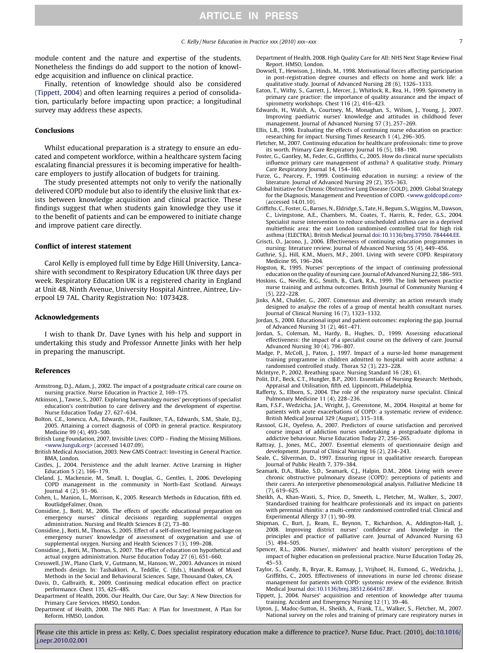<span id="page-6-0"></span>module content and the nature and expertise of the students. Nonetheless the findings do add support to the notion of knowledge acquisition and influence on clinical practice.

Finally, retention of knowledge should also be considered (Tippett, 2004) and often learning requires a period of consolidation, particularly before impacting upon practice; a longitudinal survey may address these aspects.

### Conclusions

Whilst educational preparation is a strategy to ensure an educated and competent workforce, within a healthcare system facing escalating financial pressures it is becoming imperative for healthcare employers to justify allocation of budgets for training.

The study presented attempts not only to verify the nationally delivered COPD module but also to identify the elusive link that exists between knowledge acquisition and clinical practice. These findings suggest that when students gain knowledge they use it to the benefit of patients and can be empowered to initiate change and improve patient care directly.

### Conflict of interest statement

Carol Kelly is employed full time by Edge Hill University, Lancashire with secondment to Respiratory Education UK three days per week. Respiratory Education UK is a registered charity in England at Unit 48, Ninth Avenue, University Hospital Aintree, Aintree, Liverpool L9 7AL. Charity Registration No: 1073428.

### Acknowledgements

I wish to thank Dr. Dave Lynes with his help and support in undertaking this study and Professor Annette Jinks with her help in preparing the manuscript.

### References

- Armstrong, D.J., Adam, J., 2002. The impact of a postgraduate critical care course on nursing practice. Nurse Education in Practice 2, 169–175.
- Atkinson, J., Tawse, S., 2007. Exploring haematology nurses' perceptions of specialist education's contribution to care delivery and the development of expertise. Nurse Education Today 27, 627–634.
- Bolton, C.E., Ionescu, A.A., Edwards, P.H., Faulkner, T.A., Edwards, S.M., Shale, D.J., 2005. Attaining a correct diagnosis of COPD in general practice. Respiratory Medicine 99 (4), 493–500.
- British Lung Foundation, 2007. Invisible Lives: COPD Finding the Missing Millions. [<www.lunguk.org>](http://www.lunguk.org) (accessed 14.07.09).
- British Medical Association, 2003. New GMS Contract: Investing in General Practice. BMA, London.
- Castles, J., 2004. Persistence and the adult learner. Active Learning in Higher Education 5 (2), 166–179.
- Cleland, J., Mackenzie, M., Small, I., Douglas, G., Gentles, I., 2006. Developing COPD management in the community in North-East Scotland. Airways Journal 4 (2), 91–96.
- Cohen, L., Manion, L., Morrison, K., 2005. Research Methods in Education, fifth ed. RoutlidgeFalmer, Oxon.
- Considine, J., Botti, M., 2006. The effects of specific educational preparation on emergency nurses' clinical decisions regarding supplemental oxygen administration. Nursing and Health Sciences 8 (2), 73–80.
- Considine, J., Botti, M., Thomas, S., 2005. Effect of a self-directed learning package on emergency nurses' knowledge of assessment of oxygenation and use of supplemental oxygen. Nursing and Health Sciences 7 (3), 199–208.
- Considine, J., Botti, M., Thomas, S., 2007. The effect of education on hypothetical and actual oxygen administration. Nurse Education Today 27 (6), 651–660.
- Cresswell, J.W., Plano Clark, V., Gutmann, M., Hanson, W., 2003. Advances in mixed methods design. In: Tashakkori, A., Teddlie, C. (Eds.), Handbook of Mixed Methods in the Social and Behavioural Sciences. Sage, Thousand Oakes, CA.
- Davis, D., Galbraith, R., 2009. Continuing medical education effect on practice performance. Chest 135, 42S–48S.
- Deapartment of Health, 2006. Our Health, Our Care, Our Say: A New Direction for Primary Care Services. HMSO, London.
- Department of Health, 2000. The NHS Plan: A Plan for Investment, A Plan for Reform. HMSO, London.
- Department of Health, 2008. High Quality Care for All: NHS Next Stage Review Final Report. HMSO, London.
- Dowsell, T., Hewison, J., Hinds, M., 1998. Motivational forces affecting participation in post-registration degree courses and effects on home and work life: a qualitative study. Journal of Advanced Nursing 28 (6), 1326–1333.
- Eaton, T., Withy, S., Garrett, J., Mercer, J., Whitlock, R., Rea, H., 1999. Spirometry in primary care practice: the importance of quality assurance and the impact of spirometry workshops. Chest 116 (2), 416–423.
- Edwards, H., Walsh, A., Courtney, M., Monaghan, S., Wilson, J., Young, J., 2007. Improving paediatric nurses' knowledge and attitudes in childhood fever management. Journal of Advanced Nursing 57 (3), 257–269.
- Ellis, L.B., 1996. Evaluating the effects of continuing nurse education on practice: researching for impact. Nursing Times Research 1 (4), 296–305.
- Fletcher, M., 2007. Continuing education for healthcare professionals: time to prove its worth. Primary Care Respiratory Journal 16 (5), 188–190.
- Foster, G., Gantley, M., Feder, G., Griffiths, C., 2005. How do clinical nurse specialists influence primary care management of asthma? A qualitative study. Primary Care Respiratory Journal 14, 154–160.
- Furze, G., Pearcey, P., 1999. Continuing education in nursing: a review of the literature. Journal of Advanced Nursing 29 (2), 355–363.
- Global Initiative for Chronic Obstructive Lung Disease (GOLD), 2009. Global Strategy for the Diagnosis, Management and Prevention of COPD. [<www.goldcopd.com>](http://www.goldcopd.com) (accessed 14.01.10).
- Griffiths, C., Foster, G., Barnes, N., Eldridge, S., Tate, H., Begum, S.,Wiggins, M., Dawson, C., Livingstone, A.E., Chambers, M., Coates, T., Harris, R., Feder, G.S., 2004. Specialist nurse intervention to reduce unscheduled asthma care in a deprived multiethnic area: the east London randomised controlled trial for high risk asthma (ELECTRA). British Medical Journal [doi:10.1136/bmj.37950. 784444.EE.](http://dx.doi.org/10.1136/bmj.37950.784444.EE)
- Griscti, O., Jacono, J., 2006. Effectiveness of continuing education programmes in nursing: literature review. Journal of Advanced Nursing 55 (4), 449–456.
- Guthrie, S.J., Hill, K.M., Muers, M.F., 2001. Living with severe COPD. Respiratory Medicine 95, 196–204.
- Hogston, R., 1995. Nurses' perceptions of the impact of continuing professional education on the quality of nursing care. Journal of Advanced Nursing 22, 586–593.
- Hoskins, G., Neville, R.G., Smith, B., Clark, R.A., 1999. The link between practice nurse training and asthma outcomes. British Journal of Community Nursing 4 (5), 222–228.
- Jinks, A.M., Chalder, G., 2007. Consensus and diversity: an action research study designed to analyse the roles of a group of mental health consultant nurses. Journal of Clinical Nursing 16 (7), 1323–1332.
- Jordan, S., 2000. Educational input and patient outcomes: exploring the gap. Journal of Advanced Nursing 31 (2), 461–471.
- Jordan, S., Coleman, M., Hardy, B., Hughes, D., 1999. Assessing educational effectiveness: the impact of a specialist course on the delivery of care. Journal Advanced Nursing 30 (4), 796–807.
- Madge, P., McColl, J., Paton, J., 1997. Impact of a nurse-led home management training programme in children admitted to hospital with acute asthma: a randomised controlled study. Thorax 52 (3), 223–228.
- McIntyre, P., 2002. Breathing space. Nursing Standard 16 (28), 61.
- Polit, D.F., Beck, C.T., Hungler, B.P., 2001. Essentials of Nursing Research: Methods, Appraisal and Utilisation, fifth ed. Lippincott, Philadelphia.
- Rafferty, S., Elborn, S., 2004. The role of the respiratory nurse specialist. Clinical Pulmonary Medicine 11 (4), 228–236.
- Ram, F.S.F., Wedzicha, J.A., Wright, J., Greenstone, M., 2004. Hospital at home for patients with acute exacerbations of COPD: a systematic review of evidence. British Medical Journal 329 (August), 315–318.
- Rassool, G.H., Oyefeso, A., 2007. Predictors of course satisfaction and perceived course impact of addiction nurses undertaking a postgraduate diploma in addictive behaviour. Nurse Education Today 27, 256–265.
- Rattray, J., Jones, M.C., 2007. Essential elements of questionnaire design and development. Journal of Clinical Nursing 16 (2), 234–243.
- Seale, C., Silverman, D., 1997. Ensuring rigour in qualitative research. European Journal of Public Health 7, 379–384.
- Seamark, D.A., Blake, S.D., Seamark, C.J., Halpin, D.M., 2004. Living with severe chronic obstructive pulmonary disease (COPD): perceptions of patients and their carers. An interpretive phenomenological analysis. Palliative Medicine 18 (7), 619–625.
- Sheikh, A., Khan-Wasti, S., Price, D., Smeeth, L., Fletcher, M., Walker, S., 2007. Standardised training for healthcare professionals and its impact on patients with perennial rhinitis: a multi-centre randomised controlled trial. Clinical and Experimental Allergy 37 (1), 90–99.
- Shipman, C., Burt, J., Ream, E., Beynon, T., Richardson, A., Addington-Hall, J., 2008. Improving district nurses' confidence and knowledge in the principles and practice of palliative care. Journal of Advanced Nursing 63 (5), 494–505.
- Spencer, R.L., 2006. Nurses', midwives' and health visitors' perceptions of the impact of higher education on professional practice. Nurse Education Today 26, 45–53.
- Taylor, S., Candy, B., Bryar, R., Ramsay, J., Vrijhoef, H., Esmond, G., Wedzicha, J., Griffiths, C., 2005. Effectiveness of innovations in nurse led chronic disease management for patients with COPD: systemic review of the evidence. British Medical Journal [doi:10.1136/bmj.38512.664167.8F.](http://dx.doi.org/10.1136/bmj.38512.664167.8F)
- Tippett, J., 2004. Nurses' acquisition and retention of knowledge after trauma training. Accident and Emergency Nursing 12 (1), 39–46.
- Upton, J., Madoc-Sutton, H., Sheikh, A., Frank, T.L., Walker, S., Fletcher, M., 2007. National survey on the roles and training of primary care respiratory nurses in